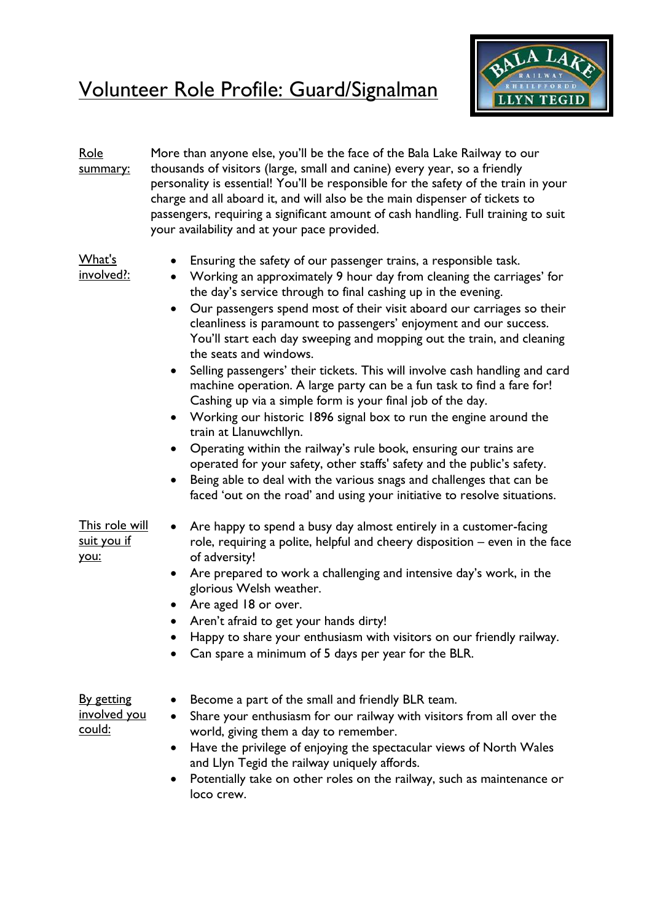## Volunteer Role Profile: Guard/Signalman



| <u>Role</u><br>summary:                                   | More than anyone else, you'll be the face of the Bala Lake Railway to our<br>thousands of visitors (large, small and canine) every year, so a friendly<br>personality is essential! You'll be responsible for the safety of the train in your<br>charge and all aboard it, and will also be the main dispenser of tickets to<br>passengers, requiring a significant amount of cash handling. Full training to suit<br>your availability and at your pace provided.                                                                                                                                                                                                                                                                                                                                                                                                                                                                                                                                                                                                                                                                                       |
|-----------------------------------------------------------|----------------------------------------------------------------------------------------------------------------------------------------------------------------------------------------------------------------------------------------------------------------------------------------------------------------------------------------------------------------------------------------------------------------------------------------------------------------------------------------------------------------------------------------------------------------------------------------------------------------------------------------------------------------------------------------------------------------------------------------------------------------------------------------------------------------------------------------------------------------------------------------------------------------------------------------------------------------------------------------------------------------------------------------------------------------------------------------------------------------------------------------------------------|
| <u>What's</u><br>involved?:                               | Ensuring the safety of our passenger trains, a responsible task.<br>Working an approximately 9 hour day from cleaning the carriages' for<br>$\bullet$<br>the day's service through to final cashing up in the evening.<br>Our passengers spend most of their visit aboard our carriages so their<br>cleanliness is paramount to passengers' enjoyment and our success.<br>You'll start each day sweeping and mopping out the train, and cleaning<br>the seats and windows.<br>Selling passengers' their tickets. This will involve cash handling and card<br>$\bullet$<br>machine operation. A large party can be a fun task to find a fare for!<br>Cashing up via a simple form is your final job of the day.<br>Working our historic 1896 signal box to run the engine around the<br>$\bullet$<br>train at Llanuwchllyn.<br>Operating within the railway's rule book, ensuring our trains are<br>$\bullet$<br>operated for your safety, other staffs' safety and the public's safety.<br>Being able to deal with the various snags and challenges that can be<br>$\bullet$<br>faced 'out on the road' and using your initiative to resolve situations. |
| <u>This role will</u><br>suit you if<br>you:              | Are happy to spend a busy day almost entirely in a customer-facing<br>$\bullet$<br>role, requiring a polite, helpful and cheery disposition - even in the face<br>of adversity!<br>Are prepared to work a challenging and intensive day's work, in the<br>$\bullet$<br>glorious Welsh weather.<br>Are aged 18 or over.<br>$\bullet$<br>• Aren't afraid to get your hands dirty!<br>Happy to share your enthusiasm with visitors on our friendly railway.<br>Can spare a minimum of 5 days per year for the BLR.                                                                                                                                                                                                                                                                                                                                                                                                                                                                                                                                                                                                                                          |
| <u>By getting</u><br><u>involved you</u><br><u>could:</u> | Become a part of the small and friendly BLR team.<br>Share your enthusiasm for our railway with visitors from all over the<br>$\bullet$<br>world, giving them a day to remember.<br>Have the privilege of enjoying the spectacular views of North Wales<br>$\bullet$<br>and Llyn Tegid the railway uniquely affords.<br>Potentially take on other roles on the railway, such as maintenance or<br>loco crew.                                                                                                                                                                                                                                                                                                                                                                                                                                                                                                                                                                                                                                                                                                                                             |